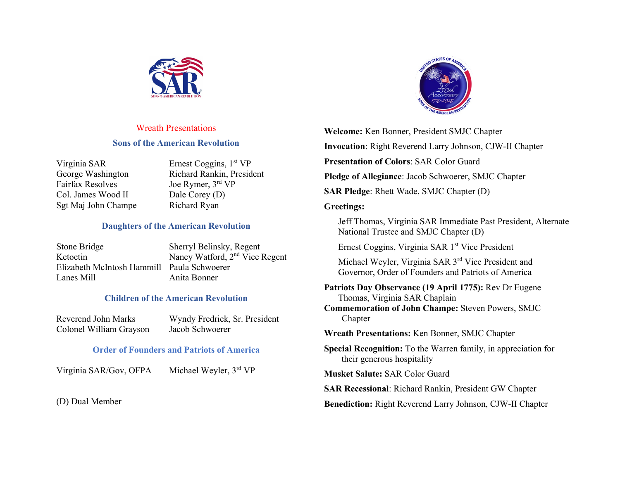

### Wreath Presentations

#### **Sons of the American Revolution**

| Virginia SAR            |
|-------------------------|
| George Washington       |
| <b>Fairfax Resolves</b> |
| Col. James Wood II      |
| Sgt Maj John Champe     |

Ernest Coggins,  $1<sup>st</sup> VP$ Richard Rankin, President Joe Rymer, 3rd VP Dale Corey (D) Richard Ryan

### **Daughters of the American Revolution**

| Stone Bridge                               | Sherryl Belinsky, Regent                   |
|--------------------------------------------|--------------------------------------------|
| Ketoctin                                   | Nancy Watford, 2 <sup>nd</sup> Vice Regent |
| Elizabeth McIntosh Hammill Paula Schwoerer |                                            |
| Lanes Mill                                 | Anita Bonner                               |
|                                            |                                            |

### **Children of the American Revolution**

| Reverend John Marks     | Wyndy Fredrick, Sr. President |
|-------------------------|-------------------------------|
| Colonel William Grayson | Jacob Schwoerer               |

### **Order of Founders and Patriots of America**

Virginia SAR/Gov, OFPA Michael Weyler, 3rd VP

(D) Dual Member



**Welcome:** Ken Bonner, President SMJC Chapter **Invocation**: Right Reverend Larry Johnson, CJW-II Chapter **Presentation of Colors**: SAR Color Guard **Pledge of Allegiance**: Jacob Schwoerer, SMJC Chapter **SAR Pledge**: Rhett Wade, SMJC Chapter (D) **Greetings:** Jeff Thomas, Virginia SAR Immediate Past President, Alternate

National Trustee and SMJC Chapter (D)

Ernest Coggins, Virginia SAR 1<sup>st</sup> Vice President

Michael Weyler, Virginia SAR 3<sup>rd</sup> Vice President and Governor, Order of Founders and Patriots of America

**Patriots Day Observance (19 April 1775):** Rev Dr Eugene Thomas, Virginia SAR Chaplain **Commemoration of John Champe:** Steven Powers, SMJC Chapter

**Wreath Presentations:** Ken Bonner, SMJC Chapter

**Special Recognition:** To the Warren family, in appreciation for their generous hospitality

**Musket Salute:** SAR Color Guard

**SAR Recessional**: Richard Rankin, President GW Chapter

**Benediction:** Right Reverend Larry Johnson, CJW-II Chapter